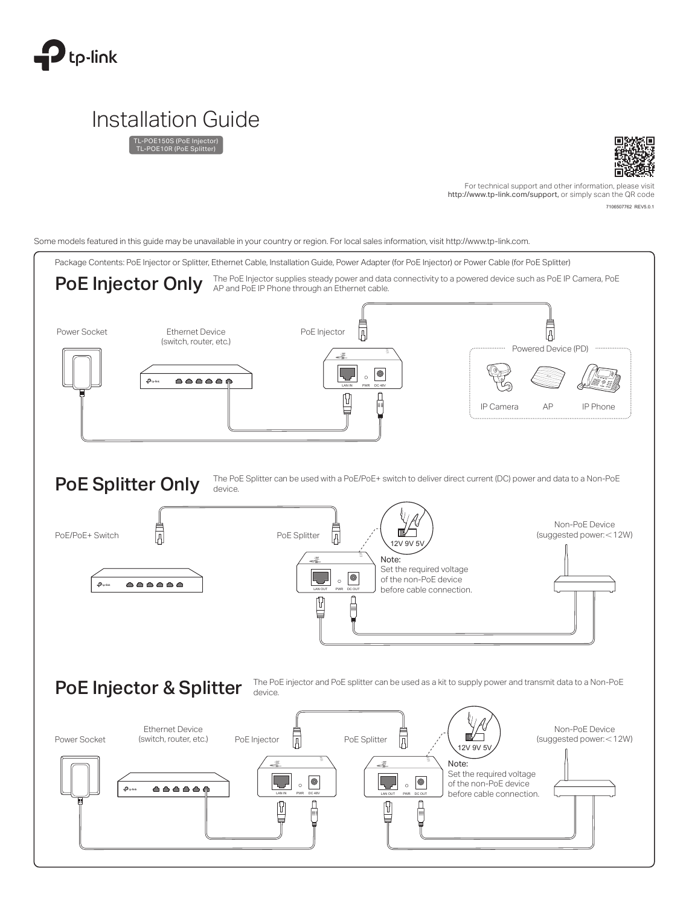

# Installation Guide

TL-POE150S (PoE Injector) TL-POE10R (PoE Splitter)



7106507762 REV5.0.1 For technical support and other information, please visit http://www.tp-link.com/support, or simply scan the QR code

Some models featured in this guide may be unavailable in your country or region. For local sales information, visit http://www.tp-link.com.